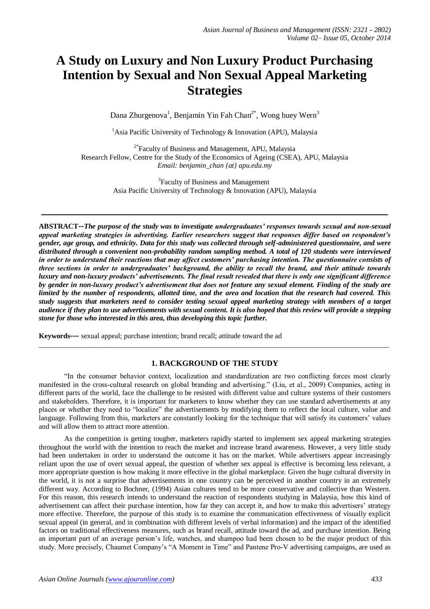# **A Study on Luxury and Non Luxury Product Purchasing Intention by Sexual and Non Sexual Appeal Marketing Strategies**

Dana Zhurgenova<sup>1</sup>, Benjamin Yin Fah Chan<sup>2\*</sup>, Wong huey Wern<sup>3</sup>

<sup>1</sup> Asia Pacific University of Technology & Innovation (APU), Malaysia

<sup>2\*</sup>Faculty of Business and Management, APU, Malaysia Research Fellow, Centre for the Study of the Economics of Ageing (CSEA), APU, Malaysia *Email: benjamin\_chan {at} apu.edu.my*

> <sup>3</sup> Faculty of Business and Management Asia Pacific University of Technology & Innovation (APU), Malaysia

**\_\_\_\_\_\_\_\_\_\_\_\_\_\_\_\_\_\_\_\_\_\_\_\_\_\_\_\_\_\_\_\_\_\_\_\_\_\_\_\_\_\_\_\_\_\_\_\_\_\_\_\_\_\_\_\_\_\_\_\_**

**ABSTRACT--***The purpose of the study was to investigate undergraduates' responses towards sexual and non-sexual appeal marketing strategies in advertising. Earlier researchers suggest that responses differ based on respondent's gender, age group, and ethnicity. Data for this study was collected through self-administered questionnaire, and were distributed through a convenient non-probability random sampling method. A total of 120 students were interviewed in order to understand their reactions that may affect customers' purchasing intention. The questionnaire consists of three sections in order to undergraduates' background, the ability to recall the brand, and their attitude towards luxury and non-luxury products' advertisements. The final result revealed that there is only one significant difference by gender in non-luxury product's advertisement that does not feature any sexual element. Finding of the study are limited by the number of respondents, allotted time, and the area and location that the research had covered. This study suggests that marketers need to consider testing sexual appeal marketing strategy with members of a target audience if they plan to use advertisements with sexual content. It is also hoped that this review will provide a stepping stone for those who interested in this area, thus developing this topic further.*

**Keywords---** sexual appeal; purchase intention; brand recall; attitude toward the ad

# **1. BACKGROUND OF THE STUDY**

 $\_$  ,  $\_$  ,  $\_$  ,  $\_$  ,  $\_$  ,  $\_$  ,  $\_$  ,  $\_$  ,  $\_$  ,  $\_$  ,  $\_$  ,  $\_$  ,  $\_$  ,  $\_$  ,  $\_$  ,  $\_$  ,  $\_$  ,  $\_$  ,  $\_$  ,  $\_$  ,  $\_$  ,  $\_$  ,  $\_$  ,  $\_$  ,  $\_$  ,  $\_$  ,  $\_$  ,  $\_$  ,  $\_$  ,  $\_$  ,  $\_$  ,  $\_$  ,  $\_$  ,  $\_$  ,  $\_$  ,  $\_$  ,  $\_$  ,

"In the consumer behavior context, localization and standardization are two conflicting forces most clearly manifested in the cross-cultural research on global branding and advertising." (Liu, et al., 2009) Companies, acting in different parts of the world, face the challenge to be resisted with different value and culture systems of their customers and stakeholders. Therefore, it is important for marketers to know whether they can use standard advertisements at any places or whether they need to "localize" the advertisements by modifying them to reflect the local culture, value and language. Following from this, marketers are constantly looking for the technique that will satisfy its customers' values and will allow them to attract more attention.

As the competition is getting tougher, marketers rapidly started to implement sex appeal marketing strategies throughout the world with the intention to reach the market and increase brand awareness. However, a very little study had been undertaken in order to understand the outcome it has on the market. While advertisers appear increasingly reliant upon the use of overt sexual appeal, the question of whether sex appeal is effective is becoming less relevant, a more appropriate question is how making it more effective in the global marketplace. Given the huge cultural diversity in the world, it is not a surprise that advertisements in one country can be perceived in another country in an extremely different way. According to Bochner, (1994) Asian cultures tend to be more conservative and collective than Western. For this reason, this research intends to understand the reaction of respondents studying in Malaysia, how this kind of advertisement can affect their purchase intention, how far they can accept it, and how to make this advertisers' strategy more effective. Therefore, the purpose of this study is to examine the communication effectiveness of visually explicit sexual appeal (in general, and in combination with different levels of verbal information) and the impact of the identified factors on traditional effectiveness measures, such as brand recall, attitude toward the ad, and purchase intention. Being an important part of an average person's life, watches, and shampoo had been chosen to be the major product of this study. More precisely, Chaumet Company's "A Moment in Time" and Pantene Pro-V advertising campaigns, are used as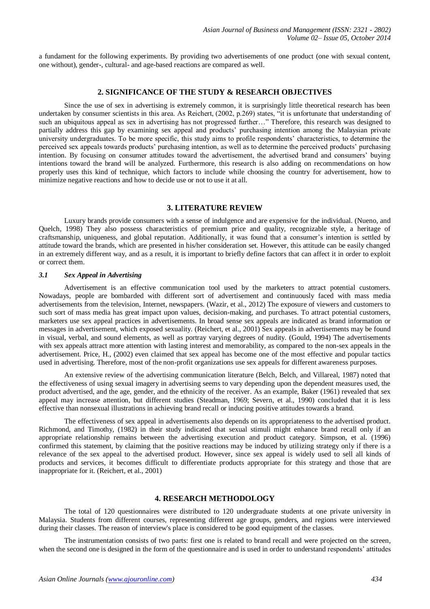a fundament for the following experiments. By providing two advertisements of one product (one with sexual content, one without), gender-, cultural- and age-based reactions are compared as well.

# **2. SIGNIFICANCE OF THE STUDY & RESEARCH OBJECTIVES**

Since the use of sex in advertising is extremely common, it is surprisingly little theoretical research has been undertaken by consumer scientists in this area. As Reichert, (2002, p.269) states, "it is unfortunate that understanding of such an ubiquitous appeal as sex in advertising has not progressed further…" Therefore, this research was designed to such an ubiquitous appeal as sex in advertising has not progressed further…" Therefore, this research wa partially address this gap by examining sex appeal and products' purchasing intention among the Malaysian private university undergraduates. To be more specific, this study aims to profile respondents' characteristics, to determine the perceived sex appeals towards products' purchasing intention, as well as to determine the perceived products' purchasing intention. By focusing on consumer attitudes toward the advertisement, the advertised brand and consumers' buying intentions toward the brand will be analyzed. Furthermore, this research is also adding on recommendations on how properly uses this kind of technique, which factors to include while choosing the country for advertisement, how to minimize negative reactions and how to decide use or not to use it at all.

#### **3. LITERATURE REVIEW**

Luxury brands provide consumers with a sense of indulgence and are expensive for the individual. (Nueno, and Quelch, 1998) They also possess characteristics of premium price and quality, recognizable style, a heritage of craftsmanship, uniqueness, and global reputation. Additionally, it was found that a consumer's intention is settled by attitude toward the brands, which are presented in his/her consideration set. However, this attitude can be easily changed in an extremely different way, and as a result, it is important to briefly define factors that can affect it in order to exploit or correct them.

### *3.1 Sex Appeal in Advertising*

Advertisement is an effective communication tool used by the marketers to attract potential customers. Nowadays, people are bombarded with different sort of advertisement and continuously faced with mass media advertisements from the television, Internet, newspapers. (Wazir, et al., 2012) The exposure of viewers and customers to such sort of mass media has great impact upon values, decision-making, and purchases. To attract potential customers, marketers use sex appeal practices in advertisements. In broad sense sex appeals are indicated as brand information or messages in advertisement, which exposed sexuality. (Reichert, et al., 2001) Sex appeals in advertisements may be found in visual, verbal, and sound elements, as well as portray varying degrees of nudity. (Gould, 1994) The advertisements with sex appeals attract more attention with lasting interest and memorability, as compared to the non-sex appeals in the advertisement. Price, H., (2002) even claimed that sex appeal has become one of the most effective and popular tactics used in advertising. Therefore, most of the non-profit organizations use sex appeals for different awareness purposes.

An extensive review of the advertising communication literature (Belch, Belch, and Villareal, 1987) noted that the effectiveness of using sexual imagery in advertising seems to vary depending upon the dependent measures used, the product advertised, and the age, gender, and the ethnicity of the receiver. As an example, Baker (1961) revealed that sex appeal may increase attention, but different studies (Steadman, 1969; Severn, et al., 1990) concluded that it is less effective than nonsexual illustrations in achieving brand recall or inducing positive attitudes towards a brand.

The effectiveness of sex appeal in advertisements also depends on its appropriateness to the advertised product. Richmond, and Timothy, (1982) in their study indicated that sexual stimuli might enhance brand recall only if an appropriate relationship remains between the advertising execution and product category. Simpson, et al. (1996) confirmed this statement, by claiming that the positive reactions may be induced by utilizing strategy only if there is a relevance of the sex appeal to the advertised product. However, since sex appeal is widely used to sell all kinds of products and services, it becomes difficult to differentiate products appropriate for this strategy and those that are inappropriate for it. (Reichert, et al., 2001)

# **4. RESEARCH METHODOLOGY**

The total of 120 questionnaires were distributed to 120 undergraduate students at one private university in Malaysia. Students from different courses, representing different age groups, genders, and regions were interviewed during their classes. The reason of interview's place is considered to be good equipment of the classes.

The instrumentation consists of two parts: first one is related to brand recall and were projected on the screen, when the second one is designed in the form of the questionnaire and is used in order to understand respondents' attitudes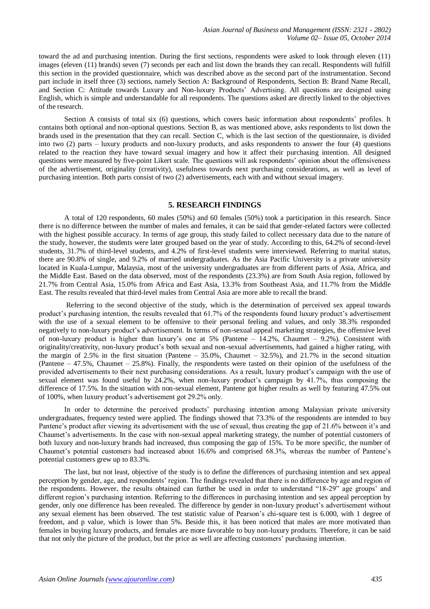toward the ad and purchasing intention. During the first sections, respondents were asked to look through eleven (11) images (eleven (11) brands) seven (7) seconds per each and list down the brands they can recall. Respondents will fulfill this section in the provided questionnaire, which was described above as the second part of the instrumentation. Second part include in itself three (3) sections, namely Section A: Background of Respondents, Section B: Brand Name Recall, and Section C: Attitude towards Luxury and Non-luxury Products' Advertising. All questions are designed using English, which is simple and understandable for all respondents. The questions asked are directly linked to the objectives of the research.

Section A consists of total six (6) questions, which covers basic information about respondents' profiles. It contains both optional and non-optional questions. Section B, as was mentioned above, asks respondents to list down the brands used in the presentation that they can recall. Section C, which is the last section of the questionnaire, is divided into two (2) parts – luxury products and non-luxury products, and asks respondents to answer the four (4) questions related to the reaction they have toward sexual imagery and how it affect their purchasing intention. All designed questions were measured by five-point Likert scale. The questions will ask respondents' opinion about the offensiveness of the advertisement, originality (creativity), usefulness towards next purchasing considerations, as well as level of purchasing intention. Both parts consist of two (2) advertisements, each with and without sexual imagery.

# **5. RESEARCH FINDINGS**

A total of 120 respondents, 60 males (50%) and 60 females (50%) took a participation in this research. Since there is no difference between the number of males and females, it can be said that gender-related factors were collected with the highest possible accuracy. In terms of age group, this study failed to collect necessary data due to the nature of the study, however, the students were later grouped based on the year of study. According to this, 64.2% of second-level students, 31.7% of third-level students, and 4.2% of first-level students were interviewed. Referring to marital status, there are 90.8% of single, and 9.2% of married undergraduates. As the Asia Pacific University is a private university located in Kuala-Lumpur, Malaysia, most of the university undergraduates are from different parts of Asia, Africa, and the Middle East. Based on the data observed, most of the respondents (23.3%) are from South Asia region, followed by 21.7% from Central Asia, 15.0% from Africa and East Asia, 13.3% from Southeast Asia, and 11.7% from the Middle East. The results revealed that third-level males from Central Asia are more able to recall the brand.

Referring to the second objective of the study, which is the determination of perceived sex appeal towards product's purchasing intention, the results revealed that 61.7% of the respondents found luxury product's advertisement with the use of a sexual element to be offensive to their personal feeling and values, and only 38.3% responded negatively to non-luxury product's advertisement. In terms of non-sexual appeal marketing strategies, the offensive level of non-luxury product is higher than luxury's one at 5% (Pantene – 14.2%, Chaumet – 9.2%). Consistent with originality/creativity, non-luxury product's both sexual and non-sexual advertisements, had gained a higher rating, with the margin of 2.5% in the first situation (Pantene – 35.0%, Chaumet – 32.5%), and 21.7% in the second situation (Pantene  $-47.5\%$ , Chaumet  $-25.8\%$ ). Finally, the respondents were tasted on their opinion of the usefulness of the provided advertisements to their next purchasing considerations. As a result, luxury product's campaign with the use of sexual element was found useful by 24.2%, when non-luxury product's campaign by 41.7%, thus composing the difference of 17.5%. In the situation with non-sexual element, Pantene got higher results as well by featuring 47.5% out of 100%, when luxury product's advertisement got 29.2% only.

In order to determine the perceived products' purchasing intention among Malaysian private university undergraduates, frequency tested were applied. The findings showed that 73.3% of the respondents are intended to buy Pantene's product after viewing its advertisement with the use of sexual, thus creating the gap of 21.6% between it's and Chaumet's advertisements. In the case with non-sexual appeal marketing strategy, the number of potential customers of both luxury and non-luxury brands had increased, thus composing the gap of 15%. To be more specific, the number of Chaumet's potential customers had increased about 16.6% and comprised 68.3%, whereas the number of Pantene's potential customers grew up to 83.3%.

The last, but not least, objective of the study is to define the differences of purchasing intention and sex appeal perception by gender, age, and respondents' region. The findings revealed that there is no difference by age and region of the respondents. However, the results obtained can further be used in order to understand "18-29" age groups' and different region's purchasing intention. Referring to the differences in purchasing intention and sex appeal perception by gender, only one difference has been revealed. The difference by gender in non-luxury product's advertisement without any sexual element has been observed. The test statistic value of Pearson's chi-square test is 6.000, with 1 degree of freedom, and p value, which is lower than 5%. Beside this, it has been noticed that males are more motivated than females in buying luxury products, and females are more favorable to buy non-luxury products. Therefore, it can be said that not only the picture of the product, but the price as well are affecting customers' purchasing intention.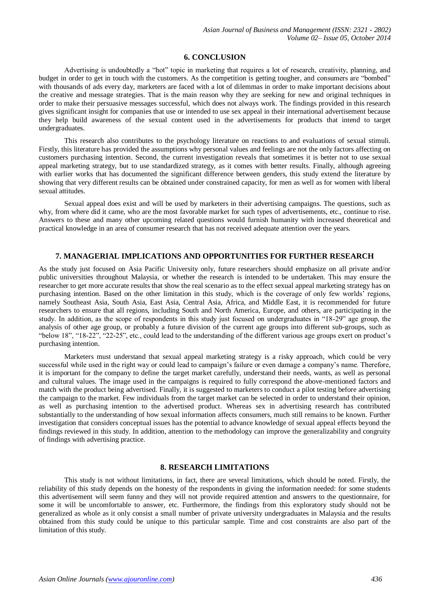#### **6. CONCLUSION**

Advertising is undoubtedly a "hot" topic in marketing that requires a lot of research, creativity, planning, and budget in order to get in touch with the customers. As the competition is getting tougher, and consumers are "bombed" with thousands of ads every day, marketers are faced with a lot of dilemmas in order to make important decisions about the creative and message strategies. That is the main reason why they are seeking for new and original techniques in order to make their persuasive messages successful, which does not always work. The findings provided in this research gives significant insight for companies that use or intended to use sex appeal in their international advertisement because they help build awareness of the sexual content used in the advertisements for products that intend to target undergraduates.

This research also contributes to the psychology literature on reactions to and evaluations of sexual stimuli. Firstly, this literature has provided the assumptions why personal values and feelings are not the only factors affecting on customers purchasing intention. Second, the current investigation reveals that sometimes it is better not to use sexual appeal marketing strategy, but to use standardized strategy, as it comes with better results. Finally, although agreeing with earlier works that has documented the significant difference between genders, this study extend the literature by showing that very different results can be obtained under constrained capacity, for men as well as for women with liberal sexual attitudes.

Sexual appeal does exist and will be used by marketers in their advertising campaigns. The questions, such as why, from where did it came, who are the most favorable market for such types of advertisements, etc., continue to rise. Answers to these and many other upcoming related questions would furnish humanity with increased theoretical and practical knowledge in an area of consumer research that has not received adequate attention over the years.

# **7. MANAGERIAL IMPLICATIONS AND OPPORTUNITIES FOR FURTHER RESEARCH**

As the study just focused on Asia Pacific University only, future researchers should emphasize on all private and/or public universities throughout Malaysia, or whether the research is intended to be undertaken. This may ensure the researcher to get more accurate results that show the real scenario as to the effect sexual appeal marketing strategy has on purchasing intention. Based on the other limitation in this study, which is the coverage of only few worlds' regions, namely Southeast Asia, South Asia, East Asia, Central Asia, Africa, and Middle East, it is recommended for future researchers to ensure that all regions, including South and North America, Europe, and others, are participating in the study. In addition, as the scope of respondents in this study just focused on undergraduates in "18-29" age group, the analysis of other age group, or probably a future division of the current age groups into different sub-groups, such as "below 18", "18-22", "22-25", etc., could lead to the understanding of the different various age groups exert on product's purchasing intention.

Marketers must understand that sexual appeal marketing strategy is a risky approach, which could be very successful while used in the right way or could lead to campaign's failure or even damage a company's name. Therefore, it is important for the company to define the target market carefully, understand their needs, wants, as well as personal and cultural values. The image used in the campaigns is required to fully correspond the above-mentioned factors and match with the product being advertised. Finally, it is suggested to marketers to conduct a pilot testing before advertising the campaign to the market. Few individuals from the target market can be selected in order to understand their opinion, as well as purchasing intention to the advertised product. Whereas sex in advertising research has contributed substantially to the understanding of how sexual information affects consumers, much still remains to be known. Further investigation that considers conceptual issues has the potential to advance knowledge of sexual appeal effects beyond the findings reviewed in this study. In addition, attention to the methodology can improve the generalizability and congruity of findings with advertising practice.

#### **8. RESEARCH LIMITATIONS**

This study is not without limitations, in fact, there are several limitations, which should be noted. Firstly, the reliability of this study depends on the honesty of the respondents in giving the information needed: for some students this advertisement will seem funny and they will not provide required attention and answers to the questionnaire, for some it will be uncomfortable to answer, etc. Furthermore, the findings from this exploratory study should not be generalized as whole as it only consist a small number of private university undergraduates in Malaysia and the results obtained from this study could be unique to this particular sample. Time and cost constraints are also part of the limitation of this study.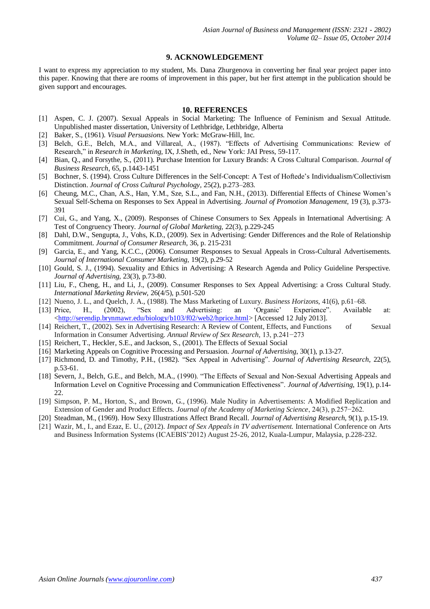# **9. ACKNOWLEDGEMENT**

I want to express my appreciation to my student, Ms. Dana Zhurgenova in converting her final year project paper into this paper. Knowing that there are rooms of improvement in this paper, but her first attempt in the publication should be given support and encourages.

#### **10. REFERENCES**

- [1] Aspen, C. J. (2007). Sexual Appeals in Social Marketing: The Influence of Feminism and Sexual Attitude. Unpublished master dissertation, University of Lethbridge, Lethbridge, Alberta
- [2] Baker, S., (1961). *Visual Persuasions.* New York: McGraw-Hill, Inc.
- [3] Belch, G.E., Belch, M.A., and Villareal, A., (1987). "Effects of Advertising Communications: Review of Research," in *Research in Marketing,* IX, J.Sheth, ed., New York: JAI Press, 59-117.
- [4] Bian, Q., and Forsythe, S., (2011). Purchase Intention for Luxury Brands: A Cross Cultural Comparison. *Journal of Business Research*, 65, p.1443-1451
- [5] Bochner, S. (1994). Cross Culture Differences in the Self-Concept: A Test of Hoftede's Individualism/Collectivism Distinction. *Journal of Cross Cultural Psychology,* 25(2), p.273–283.
- [6] Cheung, M.C., Chan, A.S., Han, Y.M., Sze, S.L., and Fan, N.H., (2013). Differential Effects of Chinese Women's Sexual Self-Schema on Responses to Sex Appeal in Advertising. *Journal of Promotion Management,* 19 (3), p.373- 391
- [7] Cui, G., and Yang, X., (2009). Responses of Chinese Consumers to Sex Appeals in International Advertising: A Test of Congruency Theory. *Journal of Global Marketing,* 22(3), p.229-245
- [8] Dahl, D.W., Sengupta, J., Vohs, K.D., (2009). Sex in Advertising: Gender Differences and the Role of Relationship Commitment. *Journal of Consumer Research,* 36, p. 215-231
- [9] Garcia, E., and Yang, K.C.C., (2006). Consumer Responses to Sexual Appeals in Cross-Cultural Advertisements. *Journal of International Consumer Marketing,* 19(2), p.29-52
- [10] Gould, S. J., (1994). Sexuality and Ethics in Advertising: A Research Agenda and Policy Guideline Perspective. *Journal of Advertising,* 23(3), p.73-80.
- [11] Liu, F., Cheng, H., and Li, J., (2009). Consumer Responses to Sex Appeal Advertising: a Cross Cultural Study. *International Marketing Review,* 26(4/5), p.501-520
- [12] Nueno, J. L., and Quelch, J. A., (1988). The Mass Marketing of Luxury. *Business Horizons*, 41(6), p.61–68.
- [13] Price, H., (2002), "Sex and Advertising: an 'Organic' Experience". Available at: [<http://serendip.brynmawr.edu/biology/b103/f02/web2/hprice.html>](http://serendip.brynmawr.edu/biology/b103/f02/web2/hprice.html) [Accessed 12 July 2013].
- [14] Reichert, T., (2002). Sex in Advertising Research: A Review of Content, Effects, and Functions of Sexual Information in Consumer Advertising. *Annual Review of Sex Research,* 13, p.241−273
- [15] Reichert, T., Heckler, S.E., and Jackson, S., (2001). The Effects of Sexual Social
- [16] Marketing Appeals on Cognitive Processing and Persuasion. *Journal of Advertising*, 30(1), p.13-27.
- [17] Richmond, D. and Timothy, P.H., (1982). "Sex Appeal in Advertising". *Journal of Advertising Research*, 22(5), p.53-61.
- [18] Severn, J., Belch, G.E., and Belch, M.A., (1990). "The Effects of Sexual and Non-Sexual Advertising Appeals and Information Level on Cognitive Processing and Communication Effectiveness". *Journal of Advertising*, 19(1), p.14- 22.
- [19] Simpson, P. M., Horton, S., and Brown, G., (1996). Male Nudity in Advertisements: A Modified Replication and Extension of Gender and Product Effects. *Journal of the Academy of Marketing Science*, 24(3), p.257−262.
- [20] Steadman, M., (1969). How Sexy Illustrations Affect Brand Recall. *Journal of Advertising Research,* 9(1), p.15-19.
- [21] Wazir, M., I., and Ezaz, E. U., (2012). *Impact of Sex Appeals in TV advertisement.* International Conference on Arts and Business Information Systems (ICAEBIS'2012) August 25-26, 2012, Kuala-Lumpur, Malaysia, p.228-232.